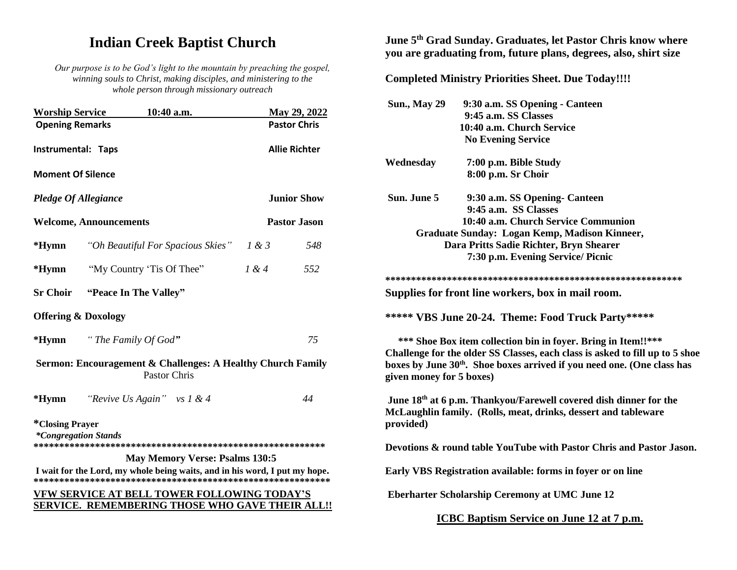# **Indian Creek Baptist Church**

*Our purpose is to be God's light to the mountain by preaching the gospel, winning souls to Christ, making disciples, and ministering to the whole person through missionary outreach*

| <b>Worship Service</b>                                       | 10:40 a.m.                                                                                            |                      | May 29, 2022 |
|--------------------------------------------------------------|-------------------------------------------------------------------------------------------------------|----------------------|--------------|
| <b>Opening Remarks</b>                                       |                                                                                                       | <b>Pastor Chris</b>  |              |
| Instrumental: Taps                                           |                                                                                                       | <b>Allie Richter</b> |              |
| <b>Moment Of Silence</b>                                     |                                                                                                       |                      |              |
| <b>Pledge Of Allegiance</b>                                  |                                                                                                       | <b>Junior Show</b>   |              |
| <b>Welcome, Announcements</b>                                |                                                                                                       | <b>Pastor Jason</b>  |              |
| $*Hymn$                                                      | "Oh Beautiful For Spacious Skies"                                                                     | 1 & 3                | 548          |
| $*Hymn$                                                      | "My Country 'Tis Of Thee"                                                                             | 1 & 4                | 552          |
| <b>Sr Choir</b>                                              | "Peace In The Valley"                                                                                 |                      |              |
| <b>Offering &amp; Doxology</b>                               |                                                                                                       |                      |              |
| $*Hymn$                                                      | "The Family Of God"                                                                                   |                      | 75           |
|                                                              | Sermon: Encouragement & Challenges: A Healthy Church Family<br><b>Pastor Chris</b>                    |                      |              |
| $*Hymn$                                                      | "Revive Us Again" vs $1 & 4$                                                                          |                      | 44           |
| <i><b>*Closing Prayer</b></i><br><i>*Congregation Stands</i> |                                                                                                       |                      |              |
|                                                              | <b>May Memory Verse: Psalms 130:5</b>                                                                 |                      |              |
|                                                              | I wait for the Lord, my whole being waits, and in his word, I put my hope.                            |                      |              |
|                                                              | <b>VFW SERVICE AT BELL TOWER FOLLOWING TODAY'S</b><br>SERVICE. REMEMBERING THOSE WHO GAVE THEIR ALL!! |                      |              |

# **June 5th Grad Sunday. Graduates, let Pastor Chris know where you are graduating from, future plans, degrees, also, shirt size**

**Completed Ministry Priorities Sheet. Due Today!!!!**

| <b>Sun., May 29</b>                                                                 | 9:30 a.m. SS Opening - Canteen                                                                                                                  |  |  |  |
|-------------------------------------------------------------------------------------|-------------------------------------------------------------------------------------------------------------------------------------------------|--|--|--|
|                                                                                     | 9:45 a.m. SS Classes                                                                                                                            |  |  |  |
|                                                                                     | 10:40 a.m. Church Service                                                                                                                       |  |  |  |
|                                                                                     | <b>No Evening Service</b>                                                                                                                       |  |  |  |
| Wednesday                                                                           | 7:00 p.m. Bible Study                                                                                                                           |  |  |  |
|                                                                                     | 8:00 p.m. Sr Choir                                                                                                                              |  |  |  |
| Sun. June 5                                                                         | 9:30 a.m. SS Opening- Canteen                                                                                                                   |  |  |  |
|                                                                                     | 9:45 a.m. SS Classes                                                                                                                            |  |  |  |
|                                                                                     | 10:40 a.m. Church Service Communion                                                                                                             |  |  |  |
|                                                                                     | Graduate Sunday: Logan Kemp, Madison Kinneer,                                                                                                   |  |  |  |
|                                                                                     | Dara Pritts Sadie Richter, Bryn Shearer                                                                                                         |  |  |  |
|                                                                                     | 7:30 p.m. Evening Service/ Picnic                                                                                                               |  |  |  |
|                                                                                     |                                                                                                                                                 |  |  |  |
|                                                                                     | Supplies for front line workers, box in mail room.                                                                                              |  |  |  |
|                                                                                     | ***** VBS June 20-24. Theme: Food Truck Party*****                                                                                              |  |  |  |
|                                                                                     | *** Shoe Box item collection bin in foyer. Bring in Item!!***                                                                                   |  |  |  |
| Challenge for the older SS Classes, each class is asked to fill up to 5 shoe        |                                                                                                                                                 |  |  |  |
| boxes by June 30 <sup>th</sup> . Shoe boxes arrived if you need one. (One class has |                                                                                                                                                 |  |  |  |
| given money for 5 boxes)                                                            |                                                                                                                                                 |  |  |  |
|                                                                                     |                                                                                                                                                 |  |  |  |
| provided)                                                                           | June 18 <sup>th</sup> at 6 p.m. Thankyou/Farewell covered dish dinner for the<br>McLaughlin family. (Rolls, meat, drinks, dessert and tableware |  |  |  |
|                                                                                     | Devotions & round table YouTube with Pastor Chris and Pastor Jason.                                                                             |  |  |  |
|                                                                                     | Early VBS Registration available: forms in foyer or on line                                                                                     |  |  |  |
| <b>Eberharter Scholarship Ceremony at UMC June 12</b>                               |                                                                                                                                                 |  |  |  |
|                                                                                     | <u>ICBC Baptism Service on June 12 at 7 p.m.</u>                                                                                                |  |  |  |